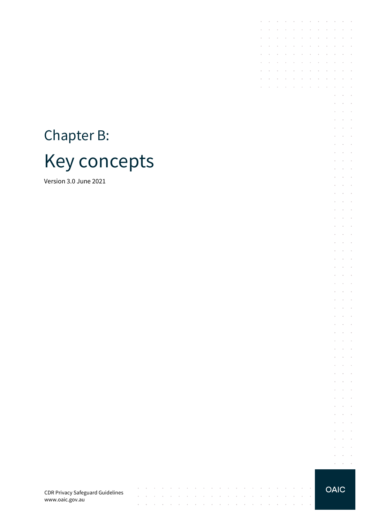# Chapter B: Key concepts

Version 3.0 June 2021

**OAIC** 

 $\epsilon = 1$  $\mathcal{L} = \mathcal{L} = \mathcal{L}$  $\mathcal{L}^{\text{max}}$  $\bar{ }$  $\alpha = \alpha + \beta$  $\alpha$  ,  $\alpha$  ,  $\alpha$ 

the contract of the contract of

 $\mathcal{L} = \mathcal{L}$ 

 $\bar{z}$  $\bar{z}$ 

 $\sim$ 

 $\sim$ 

 $\sim$ 

 $\sim$  $\mathcal{L}$ 

> $\mathcal{L}_{\mathcal{A}}$  $\sim$  $\sim$  $\overline{\phantom{a}}$  $\mathcal{L}^{\text{max}}$  and  $\mathcal{L}^{\text{max}}$  $\epsilon$  $\bar{z}$  $\;$  $\mathcal{L}^{\text{max}}$  and  $\mathcal{L}^{\text{max}}$  $\mathcal{L}=\mathcal{L}=\mathcal{L}$  $\overline{\phantom{a}}$  $\alpha$  ,  $\alpha$  ,  $\alpha$  ,  $\alpha$  $\mathcal{L}^{\text{max}}$  , and  $\mathcal{L}^{\text{max}}$  $\epsilon$  $\overline{\phantom{a}}$  $\cdot$  $\mathcal{L}^{\text{max}}$  and  $\mathcal{L}^{\text{max}}$  $\mathcal{L} = \mathcal{L} = \mathcal{L}$  $\epsilon$  $\sim$  $\sim$  $\alpha = \alpha = 1$  $\mathcal{L}=\mathcal{L}=\mathcal{L}$  $\sim$  $\sim$  $\bar{z}$  $\alpha$  ,  $\beta$  ,  $\beta$  ,  $\beta$  $\mathcal{L} = \mathcal{L} = \mathcal{L}$  $\sim$  $\sim$   $\sim$  $\mathcal{L}^{\text{max}}$  and  $\mathcal{L}^{\text{max}}$  $\sim$   $\sim$  $\overline{\phantom{a}}$  $\alpha$  ,  $\alpha$  ,  $\alpha$  ,  $\alpha$  $\mathcal{L}^{\text{max}}$  and  $\mathcal{L}^{\text{max}}$  $\mathcal{L}^{\text{max}}$  and  $\mathcal{L}^{\text{max}}$ and the control  $\alpha = \alpha = 1$  $\mathcal{L}$  $\bar{z}$  $\;$  $\mathcal{L}^{\text{max}}$  and  $\mathcal{L}^{\text{max}}$  $\mathcal{L}^{\text{max}}$  and  $\mathcal{L}^{\text{max}}$ t,  $\sim$  $\sim$   $\sim$   $\sim$   $\sim$  $\alpha$  , and  $\alpha$  , and  $\alpha$  $\overline{\phantom{a}}$  $\sim$  $\mathcal{L}^{\text{max}}$  and  $\mathcal{L}^{\text{max}}$  $\mathcal{L}^{\text{max}}$  and  $\mathcal{L}^{\text{max}}$  $\overline{\phantom{a}}$  $\mathcal{L}$  $\alpha$  , and  $\alpha$  , and  $\alpha$  $\mathcal{L}^{\text{max}}$  , and  $\mathcal{L}^{\text{max}}$  $\epsilon$  $\sim$  $\;$  $\alpha = 1, \ldots, n$  $\mathcal{L} = \mathcal{L} = \mathcal{L}$  $\epsilon$  $\sim$  $\overline{\phantom{a}}$

and the contract of the contract of

**Contract Contract** 

and the control

the contract of the contract of

 $\sim$  $\sim 10^{-1}$  km

the control of the con-

 $\sim$  $\sim$  $\sim$ 

 $\overline{\phantom{a}}$ 

 $\mathcal{L}^{\text{max}}$ 

 $\sim$  $\sim$  $\sim 10$ 

 $\sim$ 

 $\sim$  $\overline{\phantom{a}}$ 

and the control

 $\sim 10^{-1}$  .

 $\mathcal{L}^{\mathcal{A}}$  . The contribution of the contribution of the contribution of  $\mathcal{L}^{\mathcal{A}}$ and a strategic and

 $\sim$ 

J.  $\mathcal{L}^{\text{max}}$ 

 $\ddot{\phantom{a}}$  $\sim$ 

÷.  $\sim$  $\sim$  $\sim$ 

÷.  $\sim$   $\sim$  $\sim$ 

CDR Privacy Safeguard Guidelines www.oaic.gov.au

 $\mathcal{A}^{\mathcal{A}}$  , and  $\mathcal{A}^{\mathcal{A}}$  , and  $\mathcal{A}^{\mathcal{A}}$  , and

 $\alpha$  , and  $\alpha$  , and  $\alpha$  , and  $\alpha$ 

 $\sim$  $\sim$   $\sim$  $\sim$  $\bar{z}$ 

 $\sim$  $\sim$ 

 $\overline{\phantom{a}}$ 

 $\mathcal{L}_{\mathcal{A}}$ 

 $\sim$ 

 $\sim$  $\sim$ 

 $\alpha$  , and  $\alpha$  , and  $\alpha$  , and  $\alpha$  , and  $\alpha$  , and  $\alpha$  , and  $\alpha$  , and  $\alpha$ 

 $\sim$  $\sim$ 

 $\sim$ 

 $\sim$  $\sim$   $\sim$  $\sim$  $\sim$  $\sim$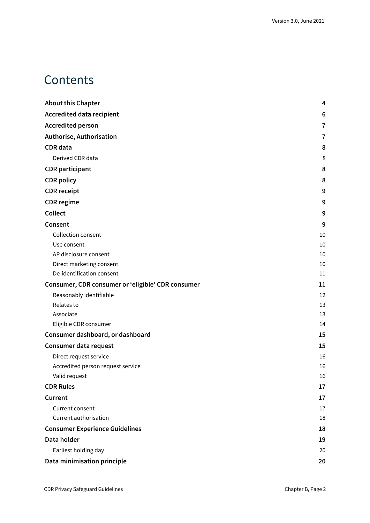## **Contents**

| <b>About this Chapter</b>                         | 4  |
|---------------------------------------------------|----|
| <b>Accredited data recipient</b>                  | 6  |
| <b>Accredited person</b>                          | 7  |
| Authorise, Authorisation                          | 7  |
| <b>CDR</b> data                                   | 8  |
| Derived CDR data                                  | 8  |
| <b>CDR</b> participant                            | 8  |
| <b>CDR</b> policy                                 | 8  |
| <b>CDR</b> receipt                                | 9  |
| <b>CDR</b> regime                                 | 9  |
| Collect                                           | 9  |
| Consent                                           | 9  |
| Collection consent                                | 10 |
| Use consent                                       | 10 |
| AP disclosure consent                             | 10 |
| Direct marketing consent                          | 10 |
| De-identification consent                         | 11 |
| Consumer, CDR consumer or 'eligible' CDR consumer | 11 |
| Reasonably identifiable                           | 12 |
| Relates to                                        | 13 |
| Associate                                         | 13 |
| Eligible CDR consumer                             | 14 |
| Consumer dashboard, or dashboard                  | 15 |
| Consumer data request                             | 15 |
| Direct request service                            | 16 |
| Accredited person request service                 | 16 |
| Valid request                                     | 16 |
| <b>CDR Rules</b>                                  | 17 |
| Current                                           | 17 |
| Current consent                                   | 17 |
| Current authorisation                             | 18 |
| <b>Consumer Experience Guidelines</b>             | 18 |
| Data holder                                       | 19 |
| Earliest holding day                              | 20 |
| Data minimisation principle                       | 20 |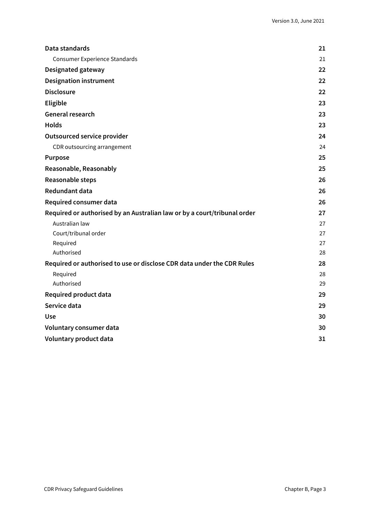| Data standards                                                           | 21 |
|--------------------------------------------------------------------------|----|
| <b>Consumer Experience Standards</b>                                     | 21 |
| Designated gateway                                                       | 22 |
| <b>Designation instrument</b>                                            | 22 |
| <b>Disclosure</b>                                                        | 22 |
| Eligible                                                                 | 23 |
| General research                                                         | 23 |
| <b>Holds</b>                                                             | 23 |
| <b>Outsourced service provider</b>                                       | 24 |
| CDR outsourcing arrangement                                              | 24 |
| <b>Purpose</b>                                                           | 25 |
| Reasonable, Reasonably                                                   | 25 |
| Reasonable steps                                                         | 26 |
| <b>Redundant data</b>                                                    | 26 |
| Required consumer data                                                   | 26 |
| Required or authorised by an Australian law or by a court/tribunal order | 27 |
| Australian law                                                           | 27 |
| Court/tribunal order                                                     | 27 |
| Required                                                                 | 27 |
| Authorised                                                               | 28 |
| Required or authorised to use or disclose CDR data under the CDR Rules   | 28 |
| Required                                                                 | 28 |
| Authorised                                                               | 29 |
| <b>Required product data</b>                                             | 29 |
| Service data                                                             | 29 |
| <b>Use</b>                                                               | 30 |
| Voluntary consumer data                                                  | 30 |
| Voluntary product data                                                   | 31 |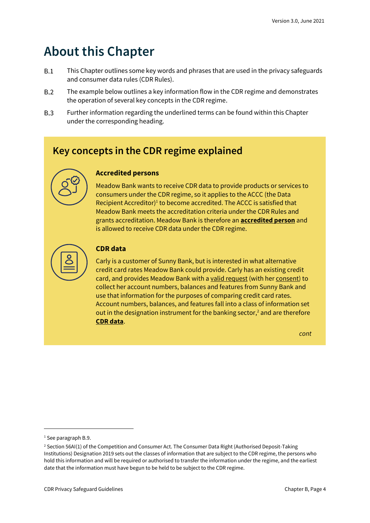## <span id="page-3-0"></span>**About this Chapter**

- $B.1$ This Chapter outlines some key words and phrases that are used in the privacy safeguards and consumer data rules (CDR Rules).
- $B.2$ The example below outlines a key information flow in the CDR regime and demonstrates the operation of several key concepts in the CDR regime.
- $B.3$ Further information regarding the underlined terms can be found within this Chapter under the corresponding heading.

### **Key concepts in the CDR regime explained**



#### **Accredited persons**

Meadow Bank wants to receive CDR data to provide products or services to consumers under the CDR regime, so it applies to the ACCC (the Data Recipient Accreditor)<sup>1</sup> to become accredited. The ACCC is satisfied that Meadow Bank meets the accreditation criteria under the CDR Rules and grants accreditation. Meadow Bank is therefore an **accredited person** and is allowed to receive CDR data under the CDR regime.



#### **CDR data**

Carly is a customer of Sunny Bank, but is interested in what alternative credit card rates Meadow Bank could provide. Carly has an existing credit card, and provides Meadow Bank with a valid request (with her consent) to collect her account numbers, balances and features from Sunny Bank and use that information for the purposes of comparing credit card rates. Account numbers, balances, and features fall into a class of information set out in the designation instrument for the banking sector, $<sup>2</sup>$  and are therefore</sup> **CDR data**.

*cont*

<sup>&</sup>lt;sup>1</sup> See paragraph B.9.

<sup>&</sup>lt;sup>2</sup> Section 56AI(1) of the Competition and Consumer Act. The Consumer Data Right (Authorised Deposit-Taking Institutions) Designation 2019 sets out the classes of information that are subject to the CDR regime, the persons who hold this information and will be required or authorised to transfer the information under the regime, and the earliest date that the information must have begun to be held to be subject to the CDR regime.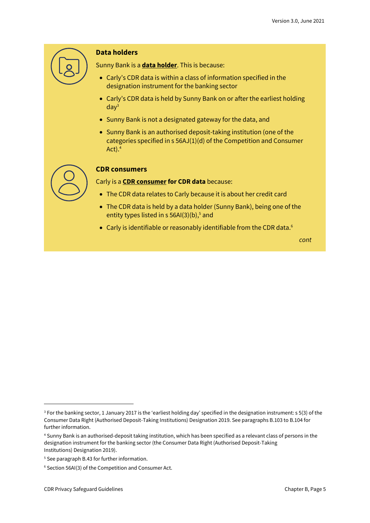

#### **Data holders**

Sunny Bank is a **data holder**. This is because:

- Carly's CDR data is within a class of information specified in the designation instrument for the banking sector
- Carly's CDR data is held by Sunny Bank on or after the earliest holding  $day<sup>3</sup>$
- Sunny Bank is not a designated gateway for the data, and
- Sunny Bank is an authorised deposit-taking institution (one of the categories specified in s 56AJ(1)(d) of the Competition and Consumer Act).<sup>4</sup>



#### **CDR consumers**

Carly is a **CDR consumer for CDR data** because:

- The CDR data relates to Carly because it is about her credit card
- The CDR data is held by a data holder (Sunny Bank), being one of the entity types listed in  $s$  56AI(3)(b),<sup>5</sup> and
- Carly is identifiable or reasonably identifiable from the CDR data.<sup>6</sup>

*cont*

<sup>3</sup> For the banking sector, 1 January 2017 is the 'earliest holding day' specified in the designation instrument: s 5(3) of the Consumer Data Right (Authorised Deposit-Taking Institutions) Designation 2019. See paragraphs B.103 to B.104 for further information.

<sup>4</sup> Sunny Bank is an authorised-deposit taking institution, which has been specified as a relevant class of persons in the designation instrument for the banking sector (the Consumer Data Right (Authorised Deposit-Taking Institutions) Designation 2019).

<sup>&</sup>lt;sup>5</sup> See paragraph B.43 for further information.

<sup>6</sup> Section 56AI(3) of the Competition and Consumer Act.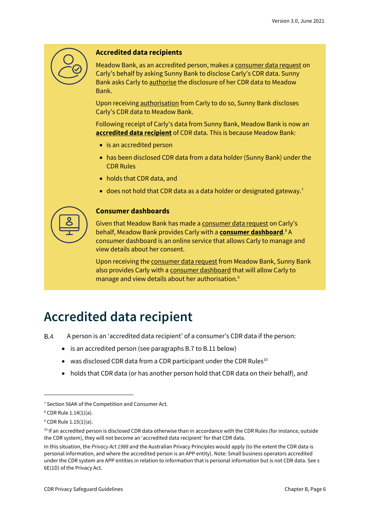

#### **Accredited data recipients**

Meadow Bank, as an accredited person, makes a consumer data request on Carly's behalf by asking Sunny Bank to disclose Carly's CDR data. Sunny Bank asks Carly to authorise the disclosure of her CDR data to Meadow Bank.

Upon receiving **authorisation** from Carly to do so, Sunny Bank discloses Carly's CDR data to Meadow Bank.

Following receipt of Carly's data from Sunny Bank, Meadow Bank is now an **accredited data recipient** of CDR data. This is because Meadow Bank:

- is an accredited person
- has been disclosed CDR data from a data holder (Sunny Bank) under the CDR Rules
- holds that CDR data, and
- does not hold that CDR data as a data holder or designated gateway.<sup>7</sup>



#### **Consumer dashboards**

Given that Meadow Bank has made a consumer data request on Carly's behalf, Meadow Bank provides Carly with a **consumer dashboard**. <sup>8</sup> A consumer dashboard is an online service that allows Carly to manage and view details about her consent.

Upon receiving the consumer data request from Meadow Bank, Sunny Bank also provides Carly with a consumer dashboard that will allow Carly to manage and view details about her authorisation.<sup>9</sup>

## <span id="page-5-0"></span>**Accredited data recipient**

 $B.4$ A person is an 'accredited data recipient' of a consumer's CDR data if the person:

- is an accredited person (see paragraphs B.7 to B.11 below)
- was disclosed CDR data from a CDR participant under the CDR Rules $^{10}$
- holds that CDR data (or has another person hold that CDR data on their behalf), and

<sup>&</sup>lt;sup>7</sup> Section 56AK of the Competition and Consumer Act.

<sup>8</sup> CDR Rule 1.14(1)(a).

<sup>9</sup> CDR Rule 1.15(1)(a).

<sup>&</sup>lt;sup>10</sup> If an accredited person is disclosed CDR data otherwise than in accordance with the CDR Rules (for instance, outside the CDR system), they will not become an 'accredited data recipient' for that CDR data.

In this situation, the *Privacy Act 1988* and the Australian Privacy Principles would apply (to the extent the CDR data is personal information, and where the accredited person is an APP entity). Note: Small business operators accredited under the CDR system are APP entities in relation to information that is personal information but is not CDR data. See s 6E(1D) of the Privacy Act.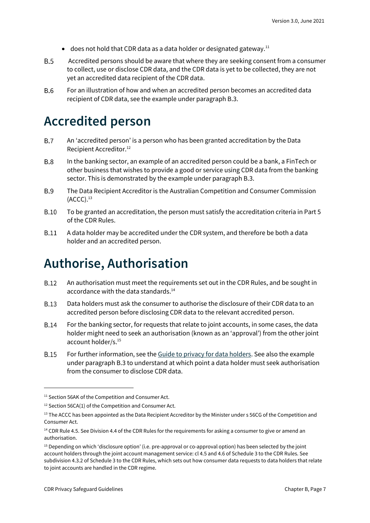- does not hold that CDR data as a data holder or designated gateway.<sup>11</sup>
- $B.5$ Accredited persons should be aware that where they are seeking consent from a consumer to collect, use or disclose CDR data, and the CDR data is yet to be collected, they are not yet an accredited data recipient of the CDR data.
- For an illustration of how and when an accredited person becomes an accredited data **B.6** recipient of CDR data, see the example under paragraph B.3.

### <span id="page-6-0"></span>**Accredited person**

- An 'accredited person' is a person who has been granted accreditation by the Data  $B.7$ Recipient Accreditor.<sup>12</sup>
- **B.8** In the banking sector, an example of an accredited person could be a bank, a FinTech or other business that wishes to provide a good or service using CDR data from the banking sector. This is demonstrated by the example under paragraph B.3.
- **B.9** The Data Recipient Accreditor is the Australian Competition and Consumer Commission  $(ACCC).<sup>13</sup>$
- $B.10$ To be granted an accreditation, the person must satisfy the accreditation criteria in Part 5 of the CDR Rules.
- $B.11$ A data holder may be accredited under the CDR system, and therefore be both a data holder and an accredited person.

## <span id="page-6-1"></span>**Authorise, Authorisation**

- An authorisation must meet the requirements set out in the CDR Rules, and be sought in **B.12** accordance with the data standards. 14
- **B** 13 Data holders must ask the consumer to authorise the disclosure of their CDR data to an accredited person before disclosing CDR data to the relevant accredited person.
- **B.14** For the banking sector, for requests that relate to joint accounts, in some cases, the data holder might need to seek an authorisation (known as an 'approval') from the other joint account holder/s. 15
- **B.15** For further information, see th[e Guide to privacy for data holders.](https://www.oaic.gov.au/consumer-data-right/guidance-and-advice/guide-to-privacy-for-data-holders/#authorisation) See also the example under paragraph B.3 to understand at which point a data holder must seek authorisation from the consumer to disclose CDR data.

<sup>&</sup>lt;sup>11</sup> Section 56AK of the Competition and Consumer Act.

<sup>&</sup>lt;sup>12</sup> Section 56CA(1) of the Competition and Consumer Act.

<sup>&</sup>lt;sup>13</sup> The ACCC has been appointed as the Data Recipient Accreditor by the Minister under s 56CG of the Competition and Consumer Act.

<sup>&</sup>lt;sup>14</sup> CDR Rule 4.5. See Division 4.4 of the CDR Rules for the requirements for asking a consumer to give or amend an authorisation.

<sup>&</sup>lt;sup>15</sup> Depending on which 'disclosure option' (i.e. pre-approval or co-approval option) has been selected by the joint account holders through the joint account management service: cl 4.5 and 4.6 of Schedule 3 to the CDR Rules. See subdivision 4.3.2 of Schedule 3 to the CDR Rules, which sets out how consumer data requests to data holders that relate to joint accounts are handled in the CDR regime.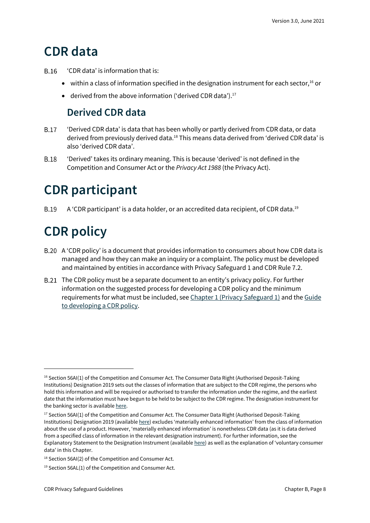## <span id="page-7-0"></span>**CDR data**

- $B.16$ 'CDR data' is information that is:
	- within a class of information specified in the designation instrument for each sector,<sup>16</sup> or
	- derived from the above information ('derived CDR data').<sup>17</sup>

### **Derived CDR data**

- <span id="page-7-1"></span>**B.17** 'Derived CDR data' is data that has been wholly or partly derived from CDR data, or data derived from previously derived data.<sup>18</sup> This means data derived from 'derived CDR data' is also 'derived CDR data'.
- **B.18** 'Derived' takes its ordinary meaning. This is because 'derived' is not defined in the Competition and Consumer Act or the *Privacy Act 1988* (the Privacy Act).

## <span id="page-7-2"></span>**CDR participant**

**B.19** A 'CDR participant' is a data holder, or an accredited data recipient, of CDR data.<sup>19</sup>

## <span id="page-7-3"></span>**CDR policy**

- A 'CDR policy' is a document that provides information to consumers about how CDR data is managed and how they can make an inquiry or a complaint. The policy must be developed and maintained by entities in accordance with Privacy Safeguard 1 and CDR Rule 7.2.
- The CDR policy must be a separate document to an entity's privacy policy. For further information on the suggested process for developing a CDR policy and the minimum requirements for what must be included, see [Chapter 1 \(Privacy Safeguard 1\)](https://www.oaic.gov.au/consumer-data-right/cdr-privacy-safeguard-guidelines/chapter-1-privacy-safeguard-1-open-and-transparent-management-of-cdr-data/) and the Guide [to developing a CDR policy.](https://www.oaic.gov.au/consumer-data-right/guidance-and-advice/guide-to-developing-a-cdr-policy/)

<sup>&</sup>lt;sup>16</sup> Section 56AI(1) of the Competition and Consumer Act. The Consumer Data Right (Authorised Deposit-Taking Institutions) Designation 2019 sets out the classes of information that are subject to the CDR regime, the persons who hold this information and will be required or authorised to transfer the information under the regime, and the earliest date that the information must have begun to be held to be subject to the CDR regime. The designation instrument for the banking sector is availabl[e here.](https://www.legislation.gov.au/Details/F2019L01153)

<sup>&</sup>lt;sup>17</sup> Section 56AI(1) of the Competition and Consumer Act. The Consumer Data Right (Authorised Deposit-Taking Institutions) Designation 2019 (availabl[e here](https://www.legislation.gov.au/Details/F2019L01153)) excludes 'materially enhanced information' from the class of information about the use of a product. However, 'materially enhanced information' is nonetheless CDR data (as it is data derived from a specified class of information in the relevant designation instrument). For further information, see the Explanatory Statement to the Designation Instrument (availabl[e here](https://www.legislation.gov.au/Details/F2019L01153/Explanatory%20Statement/Text)) as well as the explanation of 'voluntary consumer data' in this Chapter.

<sup>&</sup>lt;sup>18</sup> Section 56AI(2) of the Competition and Consumer Act.

<sup>19</sup> Section 56AL(1) of the Competition and Consumer Act.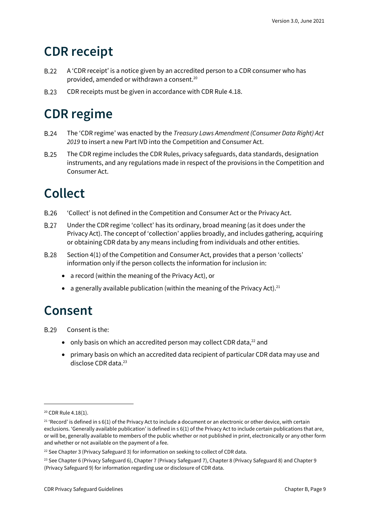## <span id="page-8-0"></span>**CDR receipt**

- $B.22$ A 'CDR receipt' is a notice given by an accredited person to a CDR consumer who has provided, amended or withdrawn a consent.<sup>20</sup>
- **B.23** CDR receipts must be given in accordance with CDR Rule 4.18.

## <span id="page-8-1"></span>**CDR regime**

- **B.24** The 'CDR regime' was enacted by the *Treasury Laws Amendment (Consumer Data Right) Act 2019* to insert a new Part IVD into the Competition and Consumer Act.
- **B.25** The CDR regime includes the CDR Rules, privacy safeguards, data standards, designation instruments, and any regulations made in respect of the provisions in the Competition and Consumer Act.

## <span id="page-8-2"></span>**Collect**

- B.26 'Collect' is not defined in the Competition and Consumer Act or the Privacy Act.
- **B.27** Under the CDR regime 'collect' has its ordinary, broad meaning (as it does under the Privacy Act). The concept of 'collection' applies broadly, and includes gathering, acquiring or obtaining CDR data by any means including from individuals and other entities.
- **B.28** Section 4(1) of the Competition and Consumer Act, provides that a person 'collects' information only if the person collects the information for inclusion in:
	- a record (within the meaning of the Privacy Act), or
	- a generally available publication (within the meaning of the Privacy Act).<sup>21</sup>

### <span id="page-8-3"></span>**Consent**

**B.29** Consent is the:

- only basis on which an accredited person may collect CDR data,<sup>22</sup> and
- primary basis on which an accredited data recipient of particular CDR data may use and disclose CDR data. 23

<sup>20</sup> CDR Rule 4.18(1).

 $21$  'Record' is defined in s 6(1) of the Privacy Act to include a document or an electronic or other device, with certain exclusions. 'Generally available publication' is defined in s 6(1) of the Privacy Act to include certain publications that are, or will be, generally available to members of the public whether or not published in print, electronically or any other form and whether or not available on the payment of a fee.

 $22$  See Chapter 3 (Privacy Safeguard 3) for information on seeking to collect of CDR data.

<sup>&</sup>lt;sup>23</sup> See Chapter 6 (Privacy Safeguard 6), Chapter 7 (Privacy Safeguard 7), Chapter 8 (Privacy Safeguard 8) and Chapter 9 (Privacy Safeguard 9) for information regarding use or disclosure of CDR data.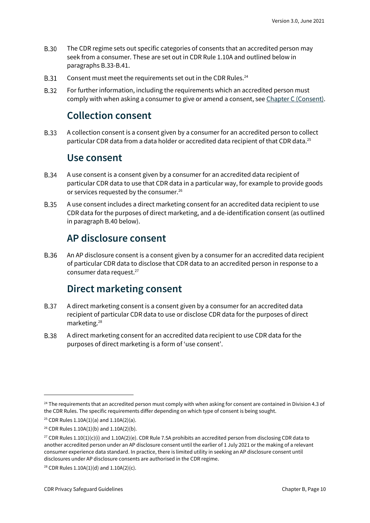- **B.30** The CDR regime sets out specific categories of consents that an accredited person may seek from a consumer. These are set out in CDR Rule 1.10A and outlined below in paragraphs B.33-B.41.
- Consent must meet the requirements set out in the CDR Rules.<sup>24</sup> **B.31**
- <span id="page-9-0"></span>**B.32** For further information, including the requirements which an accredited person must comply with when asking a consumer to give or amend a consent, se[e Chapter C \(Consent\).](https://www.oaic.gov.au/consumer-data-right/cdr-privacy-safeguard-guidelines/chapter-c-consent-the-basis-for-collecting-and-using-cdr-data)

### **Collection consent**

<span id="page-9-1"></span>**B.33** A collection consent is a consent given by a consumer for an accredited person to collect particular CDR data from a data holder or accredited data recipient of that CDR data.<sup>25</sup>

#### **Use consent**

- **B.34** A use consent is a consent given by a consumer for an accredited data recipient of particular CDR data to use that CDR data in a particular way, for example to provide goods or services requested by the consumer.<sup>26</sup>
- **B.35** A use consent includes a direct marketing consent for an accredited data recipient to use CDR data for the purposes of direct marketing, and a de-identification consent (as outlined in paragraph B.40 below).

#### **AP disclosure consent**

<span id="page-9-2"></span>**B.36** An AP disclosure consent is a consent given by a consumer for an accredited data recipient of particular CDR data to disclose that CDR data to an accredited person in response to a consumer data request.<sup>27</sup>

#### **Direct marketing consent**

- <span id="page-9-3"></span>**B.37** A direct marketing consent is a consent given by a consumer for an accredited data recipient of particular CDR data to use or disclose CDR data for the purposes of direct marketing.<sup>28</sup>
- **B.38** A direct marketing consent for an accredited data recipient to use CDR data for the purposes of direct marketing is a form of 'use consent'.

<sup>&</sup>lt;sup>24</sup> The requirements that an accredited person must comply with when asking for consent are contained in Division 4.3 of the CDR Rules. The specific requirements differ depending on which type of consent is being sought.

<sup>&</sup>lt;sup>25</sup> CDR Rules  $1.10A(1)(a)$  and  $1.10A(2)(a)$ .

<sup>26</sup> CDR Rules 1.10A(1)(b) and 1.10A(2)(b).

<sup>&</sup>lt;sup>27</sup> CDR Rules  $1.10(1)(c)(i)$  and  $1.10A(2)(e)$ . CDR Rule 7.5A prohibits an accredited person from disclosing CDR data to another accredited person under an AP disclosure consent until the earlier of 1 July 2021 or the making of a relevant consumer experience data standard. In practice, there is limited utility in seeking an AP disclosure consent until disclosures under AP disclosure consents are authorised in the CDR regime.

<sup>&</sup>lt;sup>28</sup> CDR Rules  $1.10A(1)(d)$  and  $1.10A(2)(c)$ .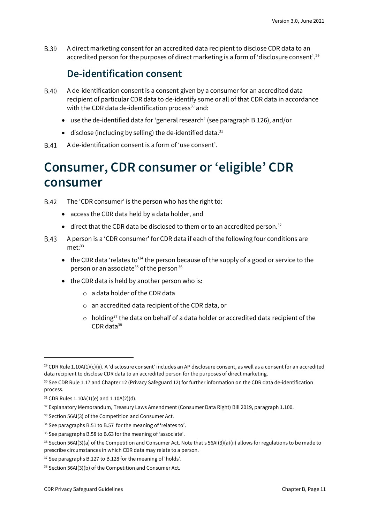<span id="page-10-0"></span>**B.39** A direct marketing consent for an accredited data recipient to disclose CDR data to an accredited person for the purposes of direct marketing is a form of 'disclosure consent'.<sup>29</sup>

#### **De-identification consent**

- **B.40** A de-identification consent is a consent given by a consumer for an accredited data recipient of particular CDR data to de-identify some or all of that CDR data in accordance with the CDR data de-identification process<sup>30</sup> and:
	- use the de-identified data for 'general research' (see paragraph B.126), and/or
	- $\bullet$  disclose (including by selling) the de-identified data.<sup>31</sup>
- A de-identification consent is a form of 'use consent'.

### <span id="page-10-1"></span>**Consumer, CDR consumer or 'eligible' CDR consumer**

The 'CDR consumer' is the person who has the right to: **B.42** 

- access the CDR data held by a data holder, and
- direct that the CDR data be disclosed to them or to an accredited person.<sup>32</sup>
- **B.43** A person is a 'CDR consumer' for CDR data if each of the following four conditions are met: 33
	- the CDR data 'relates to<sup>34</sup> the person because of the supply of a good or service to the person or an associate<sup>35</sup> of the person<sup>36</sup>
	- the CDR data is held by another person who is:
		- o a data holder of the CDR data
		- o an accredited data recipient of the CDR data, or
		- $\circ$  holding<sup>37</sup> the data on behalf of a data holder or accredited data recipient of the  $CDR$  data $38$

<sup>29</sup> CDR Rule 1.10A(1)(c)(ii). A 'disclosure consent' includes an AP disclosure consent, as well as a consent for an accredited data recipient to disclose CDR data to an accredited person for the purposes of direct marketing.

<sup>30</sup> See CDR Rule 1.17 and Chapter 12 (Privacy Safeguard 12) for further information on the CDR data de-identification process.

 $31$  CDR Rules 1.10A(1)(e) and 1.10A(2)(d).

<sup>32</sup> Explanatory Memorandum, Treasury Laws Amendment (Consumer Data Right) Bill 2019, paragraph 1.100.

<sup>&</sup>lt;sup>33</sup> Section 56AI(3) of the Competition and Consumer Act.

<sup>&</sup>lt;sup>34</sup> See paragraphs B.51 to B.57 for the meaning of 'relates to'.

<sup>&</sup>lt;sup>35</sup> See paragraphs B.58 to B.63 for the meaning of 'associate'.

<sup>36</sup> Section 56AI(3)(a) of the Competition and Consumer Act. Note that s 56AI(3)(a)(ii) allows for regulations to be made to prescribe circumstances in which CDR data may relate to a person.

<sup>&</sup>lt;sup>37</sup> See paragraphs B.127 to B.128 for the meaning of 'holds'.

<sup>38</sup> Section 56AI(3)(b) of the Competition and Consumer Act.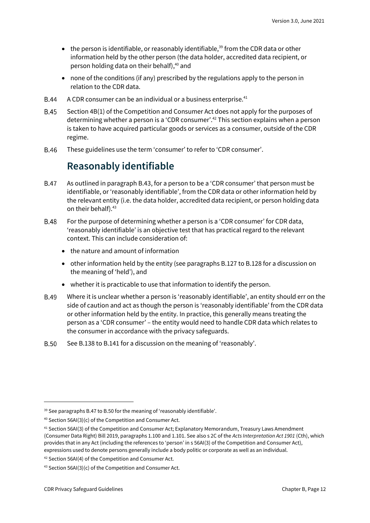- $\bullet$  the person is identifiable, or reasonably identifiable,<sup>39</sup> from the CDR data or other information held by the other person (the data holder, accredited data recipient, or person holding data on their behalf), <sup>40</sup> and
- none of the conditions (if any) prescribed by the regulations apply to the person in relation to the CDR data.
- A CDR consumer can be an individual or a business enterprise.<sup>41</sup> **B.44**
- **B.45** Section 4B(1) of the Competition and Consumer Act does not apply for the purposes of determining whether a person is a 'CDR consumer'. <sup>42</sup> This section explains when a person is taken to have acquired particular goods or services as a consumer, outside of the CDR regime.
- <span id="page-11-0"></span>**B.46** These guidelines use the term 'consumer' to refer to 'CDR consumer'.

#### **Reasonably identifiable**

- **B.47** As outlined in paragraph B.43, for a person to be a 'CDR consumer' that person must be identifiable, or 'reasonably identifiable', from the CDR data or other information held by the relevant entity (i.e. the data holder, accredited data recipient, or person holding data on their behalf). 43
- For the purpose of determining whether a person is a 'CDR consumer' for CDR data, **B.48** 'reasonably identifiable' is an objective test that has practical regard to the relevant context. This can include consideration of:
	- the nature and amount of information
	- other information held by the entity (see paragraphs B.127 to B.128 for a discussion on the meaning of 'held'), and
	- whether it is practicable to use that information to identify the person.
- Where it is unclear whether a person is 'reasonably identifiable', an entity should err on the **B.49** side of caution and act as though the person is 'reasonably identifiable' from the CDR data or other information held by the entity. In practice, this generally means treating the person as a 'CDR consumer' – the entity would need to handle CDR data which relates to the consumer in accordance with the privacy safeguards.
- **B.50** See B.138 to B.141 for a discussion on the meaning of 'reasonably'.

<sup>&</sup>lt;sup>39</sup> See paragraphs B.47 to B.50 for the meaning of 'reasonably identifiable'.

<sup>40</sup> Section 56AI(3)(c) of the Competition and Consumer Act.

<sup>41</sup> Section 56AI(3) of the Competition and Consumer Act; Explanatory Memorandum, Treasury Laws Amendment (Consumer Data Right) Bill 2019, paragraphs 1.100 and 1.101. See also s 2C of the *Acts Interpretation Act 1901* (Cth), which provides that in any Act (including the references to 'person' in s 56AI(3) of the Competition and Consumer Act), expressions used to denote persons generally include a body politic or corporate as well as an individual.

<sup>42</sup> Section 56AI(4) of the Competition and Consumer Act.

<sup>43</sup> Section 56AI(3)(c) of the Competition and Consumer Act.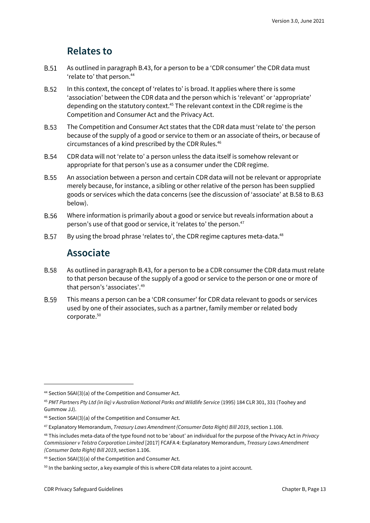#### **Relates to**

- <span id="page-12-0"></span>**B.51** As outlined in paragraph B.43, for a person to be a 'CDR consumer' the CDR data must 'relate to' that person.<sup>44</sup>
- $B.52$ In this context, the concept of 'relates to' is broad. It applies where there is some 'association' between the CDR data and the person which is 'relevant' or 'appropriate' depending on the statutory context.<sup>45</sup> The relevant context in the CDR regime is the Competition and Consumer Act and the Privacy Act.
- **B.53** The Competition and Consumer Act states that the CDR data must 'relate to' the person because of the supply of a good or service to them or an associate of theirs, or because of circumstances of a kind prescribed by the CDR Rules. 46
- **B.54** CDR data will not 'relate to' a person unless the data itself is somehow relevant or appropriate for that person's use as a consumer under the CDR regime.
- **B.55** An association between a person and certain CDR data will not be relevant or appropriate merely because, for instance, a sibling or other relative of the person has been supplied goods or services which the data concerns (see the discussion of 'associate' at B.58 to B.63 below).
- **B.56** Where information is primarily about a good or service but reveals information about a person's use of that good or service, it 'relates to' the person.<sup>47</sup>
- <span id="page-12-1"></span>**B.57** By using the broad phrase 'relates to', the CDR regime captures meta-data.<sup>48</sup>

#### **Associate**

- **B.58** As outlined in paragraph B.43, for a person to be a CDR consumer the CDR data must relate to that person because of the supply of a good or service to the person or one or more of that person's 'associates'.<sup>49</sup>
- **B.59** This means a person can be a 'CDR consumer' for CDR data relevant to goods or services used by one of their associates, such as a partner, family member or related body corporate.<sup>50</sup>

<sup>44</sup> Section 56AI(3)(a) of the Competition and Consumer Act.

<sup>45</sup> *PMT Partners Pty Ltd (in liq) v Australian National Parks and Wildlife Service* (1995) 184 CLR 301, 331 (Toohey and Gummow JJ).

<sup>46</sup> Section 56AI(3)(a) of the Competition and Consumer Act.

<sup>47</sup> Explanatory Memorandum, *Treasury Laws Amendment (Consumer Data Right) Bill 2019*, section 1.108.

<sup>48</sup> This includes meta-data of the type found not to be 'about' an individual for the purpose of the Privacy Act in *Privacy Commissioner v Telstra Corporation Limited* [2017] FCAFA 4: Explanatory Memorandum, *Treasury Laws Amendment (Consumer Data Right) Bill 2019*, section 1.106.

<sup>49</sup> Section 56AI(3)(a) of the Competition and Consumer Act.

<sup>&</sup>lt;sup>50</sup> In the banking sector, a key example of this is where CDR data relates to a joint account.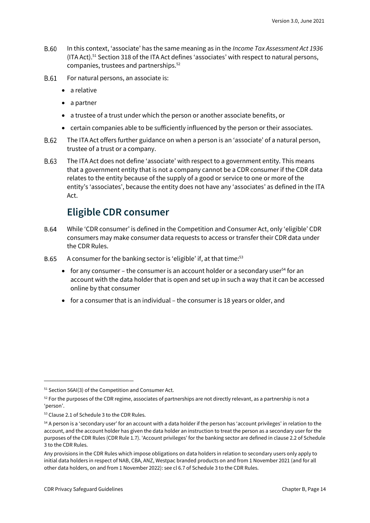- **B.60** In this context, 'associate' has the same meaning as in the *Income Tax Assessment Act 1936* (ITA Act).<sup>51</sup> Section 318 of the ITA Act defines 'associates' with respect to natural persons, companies, trustees and partnerships.<sup>52</sup>
- For natural persons, an associate is: B.61
	- a relative
	- a partner
	- a trustee of a trust under which the person or another associate benefits, or
	- certain companies able to be sufficiently influenced by the person or their associates.
- B.62 The ITA Act offers further guidance on when a person is an 'associate' of a natural person, trustee of a trust or a company.
- B.63 The ITA Act does not define 'associate' with respect to a government entity. This means that a government entity that is not a company cannot be a CDR consumer if the CDR data relates to the entity because of the supply of a good or service to one or more of the entity's 'associates', because the entity does not have any 'associates' as defined in the ITA Act.

#### **Eligible CDR consumer**

- <span id="page-13-0"></span>**B.64** While 'CDR consumer' is defined in the Competition and Consumer Act, only 'eligible' CDR consumers may make consumer data requests to access or transfer their CDR data under the CDR Rules.
- A consumer for the banking sector is 'eligible' if, at that time:<sup>53</sup> **B.65** 
	- for any consumer the consumer is an account holder or a secondary user<sup>54</sup> for an account with the data holder that is open and set up in such a way that it can be accessed online by that consumer
	- for a consumer that is an individual the consumer is 18 years or older, and

<sup>&</sup>lt;sup>51</sup> Section 56AI(3) of the Competition and Consumer Act.

 $52$  For the purposes of the CDR regime, associates of partnerships are not directly relevant, as a partnership is not a 'person'.

<sup>53</sup> Clause 2.1 of Schedule 3 to the CDR Rules.

<sup>&</sup>lt;sup>54</sup> A person is a 'secondary user' for an account with a data holder if the person has 'account privileges' in relation to the account, and the account holder has given the data holder an instruction to treat the person as a secondary user for the purposes of the CDR Rules (CDR Rule 1.7). 'Account privileges' for the banking sector are defined in clause 2.2 of Schedule 3 to the CDR Rules.

Any provisions in the CDR Rules which impose obligations on data holders in relation to secondary users only apply to initial data holders in respect of NAB, CBA, ANZ, Westpac branded products on and from 1 November 2021 (and for all other data holders, on and from 1 November 2022): see cl 6.7 of Schedule 3 to the CDR Rules.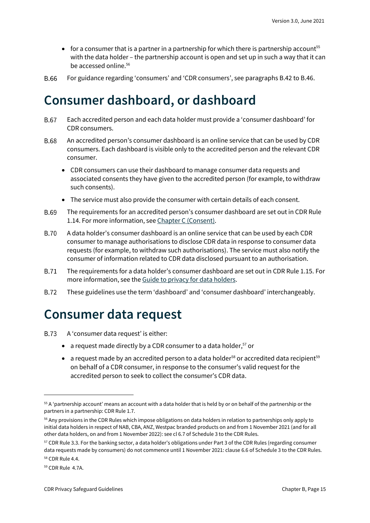- for a consumer that is a partner in a partnership for which there is partnership account<sup>55</sup> with the data holder – the partnership account is open and set up in such a way that it can be accessed online. 56
- **B.66** For guidance regarding 'consumers' and 'CDR consumers', see paragraphs B.42 to B.46.

## <span id="page-14-0"></span>**Consumer dashboard, or dashboard**

- Each accredited person and each data holder must provide a 'consumer dashboard' for **B.67** CDR consumers.
- **B.68** An accredited person's consumer dashboard is an online service that can be used by CDR consumers. Each dashboard is visible only to the accredited person and the relevant CDR consumer.
	- CDR consumers can use their dashboard to manage consumer data requests and associated consents they have given to the accredited person (for example, to withdraw such consents).
	- The service must also provide the consumer with certain details of each consent.
- **B.69** The requirements for an accredited person's consumer dashboard are set out in CDR Rule 1.14. For more information, se[e Chapter C \(Consent\).](https://www.oaic.gov.au/consumer-data-right/cdr-privacy-safeguard-guidelines/chapter-c-consent-the-basis-for-collecting-and-using-cdr-data/)
- **B.70** A data holder's consumer dashboard is an online service that can be used by each CDR consumer to manage authorisations to disclose CDR data in response to consumer data requests (for example, to withdraw such authorisations). The service must also notify the consumer of information related to CDR data disclosed pursuant to an authorisation.
- The requirements for a data holder's consumer dashboard are set out in CDR Rule 1.15. For **B.71** more information, see the [Guide to privacy for data holders.](https://www.oaic.gov.au/consumer-data-right/guidance-and-advice/guide-to-privacy-for-data-holders/)
- **B.72** These guidelines use the term 'dashboard' and 'consumer dashboard' interchangeably.

### <span id="page-14-1"></span>**Consumer data request**

- B.73 A 'consumer data request' is either:
	- a request made directly by a CDR consumer to a data holder,  $57$  or
	- a request made by an accredited person to a data holder<sup>58</sup> or accredited data recipient<sup>59</sup> on behalf of a CDR consumer, in response to the consumer's valid request for the accredited person to seek to collect the consumer's CDR data.

<sup>&</sup>lt;sup>55</sup> A 'partnership account' means an account with a data holder that is held by or on behalf of the partnership or the partners in a partnership: CDR Rule 1.7.

<sup>&</sup>lt;sup>56</sup> Any provisions in the CDR Rules which impose obligations on data holders in relation to partnerships only apply to initial data holders in respect of NAB, CBA, ANZ, Westpac branded products on and from 1 November 2021 (and for all other data holders, on and from 1 November 2022): see cl 6.7 of Schedule 3 to the CDR Rules.

<sup>57</sup> CDR Rule 3.3. For the banking sector, a data holder's obligations under Part 3 of the CDR Rules (regarding consumer data requests made by consumers) do not commence until 1 November 2021: clause 6.6 of Schedule 3 to the CDR Rules. <sup>58</sup> CDR Rule 4.4.

<sup>59</sup> CDR Rule 4.7A.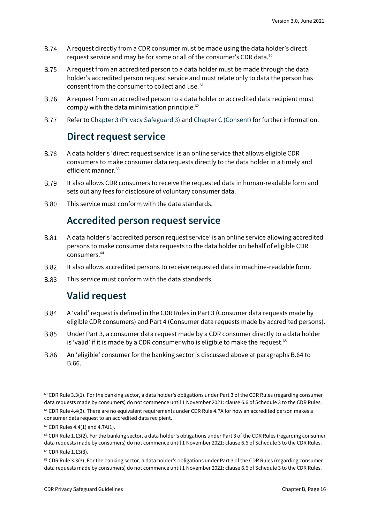- **B.74** A request directly from a CDR consumer must be made using the data holder's direct request service and may be for some or all of the consumer's CDR data.<sup>60</sup>
- **B.75** A request from an accredited person to a data holder must be made through the data holder's accredited person request service and must relate only to data the person has consent from the consumer to collect and use. <sup>61</sup>
- A request from an accredited person to a data holder or accredited data recipient must **B.76** comply with the data minimisation principle.<sup>62</sup>
- <span id="page-15-0"></span>**B.77** Refer to [Chapter 3 \(Privacy Safeguard 3\)](https://www.oaic.gov.au/consumer-data-right/cdr-privacy-safeguard-guidelines/chapter-3-privacy-safeguard-3-seeking-to-collect-cdr-data-from-cdr-participants/) and [Chapter C](https://www.oaic.gov.au/consumer-data-right/cdr-privacy-safeguard-guidelines/chapter-c-consent-the-basis-for-collecting-and-using-cdr-data) (Consent) for further information.

#### **Direct request service**

- **B.78** A data holder's 'direct request service' is an online service that allows eligible CDR consumers to make consumer data requests directly to the data holder in a timely and efficient manner.<sup>63</sup>
- **B.79** It also allows CDR consumers to receive the requested data in human-readable form and sets out any fees for disclosure of voluntary consumer data.
- <span id="page-15-1"></span>**B.80** This service must conform with the data standards.

#### **Accredited person request service**

- **B.81** A data holder's 'accredited person request service' is an online service allowing accredited persons to make consumer data requests to the data holder on behalf of eligible CDR consumers.<sup>64</sup>
- **B.82** It also allows accredited persons to receive requested data in machine-readable form.
- <span id="page-15-2"></span>**B** 83 This service must conform with the data standards.

#### **Valid request**

- **B.84** A 'valid' request is defined in the CDR Rules in Part 3 (Consumer data requests made by eligible CDR consumers) and Part 4 (Consumer data requests made by accredited persons).
- Under Part 3, a consumer data request made by a CDR consumer directly to a data holder **B.85** is 'valid' if it is made by a CDR consumer who is eligible to make the request. $65$
- **B.86** An 'eligible' consumer for the banking sector is discussed above at paragraphs B.64 to B.66.

 $60$  CDR Rule 3.3(1). For the banking sector, a data holder's obligations under Part 3 of the CDR Rules (regarding consumer data requests made by consumers) do not commence until 1 November 2021: clause 6.6 of Schedule 3 to the CDR Rules.

 $61$  CDR Rule 4.4(3). There are no equivalent requirements under CDR Rule 4.7A for how an accredited person makes a consumer data request to an accredited data recipient.

 $62$  CDR Rules 4.4(1) and 4.7A(1).

<sup>&</sup>lt;sup>63</sup> CDR Rule 1.13(2). For the banking sector, a data holder's obligations under Part 3 of the CDR Rules (regarding consumer data requests made by consumers) do not commence until 1 November 2021: clause 6.6 of Schedule 3 to the CDR Rules. <sup>64</sup> CDR Rule 1.13(3).

<sup>65</sup> CDR Rule 3.3(3). For the banking sector, a data holder's obligations under Part 3 of the CDR Rules (regarding consumer data requests made by consumers) do not commence until 1 November 2021: clause 6.6 of Schedule 3 to the CDR Rules.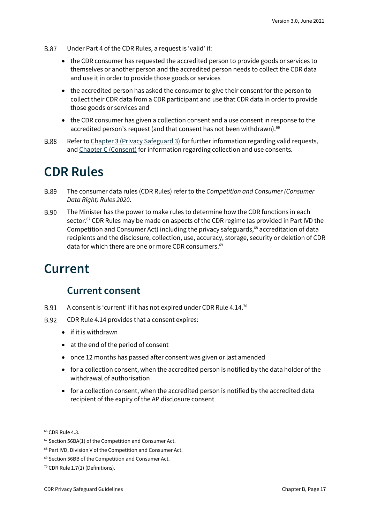- **B.87** Under Part 4 of the CDR Rules, a request is 'valid' if:
	- the CDR consumer has requested the accredited person to provide goods or services to themselves or another person and the accredited person needs to collect the CDR data and use it in order to provide those goods or services
	- the accredited person has asked the consumer to give their consent for the person to collect their CDR data from a CDR participant and use that CDR data in order to provide those goods or services and
	- the CDR consumer has given a collection consent and a use consent in response to the accredited person's request (and that consent has not been withdrawn).<sup>66</sup>
- Refer to [Chapter 3 \(Privacy Safeguard 3\)](https://www.oaic.gov.au/consumer-data-right/cdr-privacy-safeguard-guidelines/chapter-3-privacy-safeguard-3-seeking-to-collect-cdr-data-from-cdr-participants) for further information regarding valid requests, **B.88** an[d Chapter C \(Consent\)](https://www.oaic.gov.au/consumer-data-right/cdr-privacy-safeguard-guidelines/chapter-c-consent-the-basis-for-collecting-and-using-cdr-data/) for information regarding collection and use consents.

### <span id="page-16-0"></span>**CDR Rules**

- **B.89** The consumer data rules (CDR Rules) refer to the *Competition and Consumer (Consumer Data Right) Rules 2020*.
- **B.90** The Minister has the power to make rules to determine how the CDR functions in each sector.<sup>67</sup> CDR Rules may be made on aspects of the CDR regime (as provided in Part IVD the Competition and Consumer Act) including the privacy safeguards,<sup>68</sup> accreditation of data recipients and the disclosure, collection, use, accuracy, storage, security or deletion of CDR data for which there are one or more CDR consumers. 69

### <span id="page-16-1"></span>**Current**

#### **Current consent**

- <span id="page-16-2"></span>B.91 A consent is 'current' if it has not expired under CDR Rule 4.14.<sup>70</sup>
- CDR Rule 4.14 provides that a consent expires:
	- if it is withdrawn
	- at the end of the period of consent
	- once 12 months has passed after consent was given or last amended
	- for a collection consent, when the accredited person is notified by the data holder of the withdrawal of authorisation
	- for a collection consent, when the accredited person is notified by the accredited data recipient of the expiry of the AP disclosure consent

<sup>&</sup>lt;sup>66</sup> CDR Rule 4.3.

 $67$  Section 56BA(1) of the Competition and Consumer Act.

<sup>68</sup> Part IVD, Division V of the Competition and Consumer Act.

<sup>69</sup> Section 56BB of the Competition and Consumer Act.

<sup>70</sup> CDR Rule 1.7(1) (Definitions).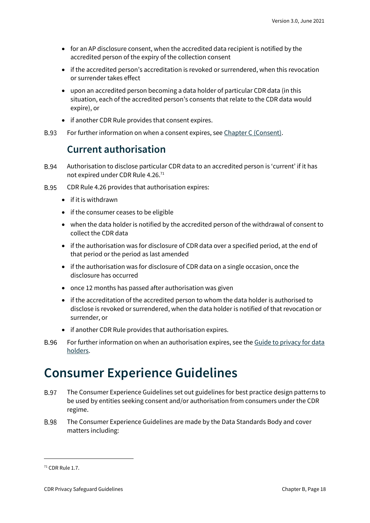- for an AP disclosure consent, when the accredited data recipient is notified by the accredited person of the expiry of the collection consent
- if the accredited person's accreditation is revoked or surrendered, when this revocation or surrender takes effect
- upon an accredited person becoming a data holder of particular CDR data (in this situation, each of the accredited person's consents that relate to the CDR data would expire), or
- if another CDR Rule provides that consent expires.
- <span id="page-17-0"></span>**B.93** For further information on when a consent expires, se[e Chapter C \(Consent\).](https://www.oaic.gov.au/consumer-data-right/cdr-privacy-safeguard-guidelines/chapter-c-consent-the-basis-for-collecting-and-using-cdr-data/)

#### **Current authorisation**

- **B.94** Authorisation to disclose particular CDR data to an accredited person is 'current' if it has not expired under CDR Rule 4.26.<sup>71</sup>
- **B.95** CDR Rule 4.26 provides that authorisation expires:
	- if it is withdrawn
	- if the consumer ceases to be eligible
	- when the data holder is notified by the accredited person of the withdrawal of consent to collect the CDR data
	- if the authorisation was for disclosure of CDR data over a specified period, at the end of that period or the period as last amended
	- if the authorisation was for disclosure of CDR data on a single occasion, once the disclosure has occurred
	- once 12 months has passed after authorisation was given
	- if the accreditation of the accredited person to whom the data holder is authorised to disclose is revoked or surrendered, when the data holder is notified of that revocation or surrender, or
	- if another CDR Rule provides that authorisation expires.
- **B.96** For further information on when an authorisation expires, see the Guide to privacy for data [holders.](https://www.oaic.gov.au/consumer-data-right/guidance-and-advice/guide-to-privacy-for-data-holders/)

### <span id="page-17-1"></span>**Consumer Experience Guidelines**

- **B.97** The Consumer Experience Guidelines set out guidelines for best practice design patterns to be used by entities seeking consent and/or authorisation from consumers under the CDR regime.
- **B.98** The Consumer Experience Guidelines are made by the Data Standards Body and cover matters including:

<sup>71</sup> CDR Rule 1.7.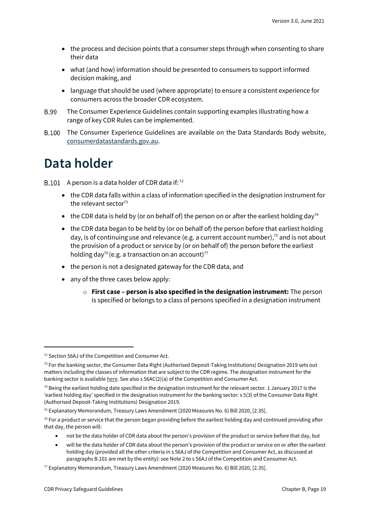- the process and decision points that a consumer steps through when consenting to share their data
- what (and how) information should be presented to consumers to support informed decision making, and
- language that should be used (where appropriate) to ensure a consistent experience for consumers across the broader CDR ecosystem.
- **B.99** The Consumer Experience Guidelines contain supporting examples illustrating how a range of key CDR Rules can be implemented.
- The Consumer Experience Guidelines are available on the Data Standards Body website, [consumerdatastandards.gov.au.](http://www.consumerdatastandards.gov.au/)

### <span id="page-18-0"></span>**Data holder**

A person is a data holder of CDR data if: $^{72}$ 

- the CDR data falls within a class of information specified in the designation instrument for the relevant sector $73$
- the CDR data is held by (or on behalf of) the person on or after the earliest holding day<sup>74</sup>
- the CDR data began to be held by (or on behalf of) the person before that earliest holding day, is of continuing use and relevance (e.g. a current account number), <sup>75</sup> and is not about the provision of a product or service by (or on behalf of) the person before the earliest holding day<sup>76</sup> (e.g. a transaction on an account)<sup>77</sup>
- the person is not a designated gateway for the CDR data, and
- any of the three cases below apply:
	- o **First case – person is also specified in the designation instrument:** The person is specified or belongs to a class of persons specified in a designation instrument

• not be the data holder of CDR data about the person's provision of the product or service before that day, but

<sup>72</sup> Section 56AJ of the Competition and Consumer Act.

 $<sup>73</sup>$  For the banking sector, the Consumer Data Right (Authorised Deposit-Taking Institutions) Designation 2019 sets out</sup> matters including the classes of information that are subject to the CDR regime. The designation instrument for the banking sector is availabl[e here.](https://www.legislation.gov.au/Details/F2019L01153) See also s 56AC(2)(a) of the Competition and Consumer Act.

 $74$  Being the earliest holding date specified in the designation instrument for the relevant sector. 1 January 2017 is the 'earliest holding day' specified in the designation instrument for the banking sector: s 5(3) of the Consumer Data Right (Authorised Deposit-Taking Institutions) Designation 2019.

<sup>75</sup> Explanatory Memorandum, Treasury Laws Amendment (2020 Measures No. 6) Bill 2020, [2.35].

 $76$  For a product or service that the person began providing before the earliest holding day and continued providing after that day, the person will:

<sup>•</sup> will be the data holder of CDR data about the person's provision of the product or service on or after the earliest holding day (provided all the other criteria in s 56AJ of the Competition and Consumer Act, as discussed at paragraphs B.101 are met by the entity): see Note 2 to s 56AJ of the Competition and Consumer Act.

<sup>77</sup> Explanatory Memorandum, Treasury Laws Amendment (2020 Measures No. 6) Bill 2020, [2.35].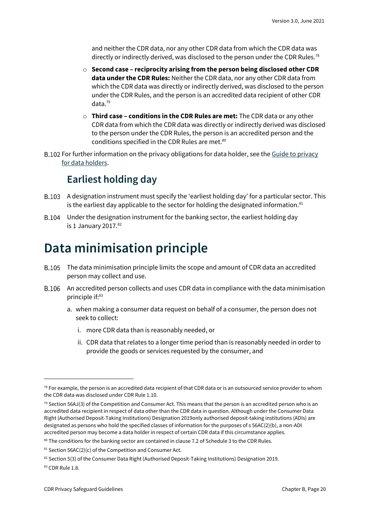and neither the CDR data, nor any other CDR data from which the CDR data was directly or indirectly derived, was disclosed to the person under the CDR Rules.<sup>78</sup>

- o **Second case – reciprocity arising from the person being disclosed other CDR data under the CDR Rules:** Neither the CDR data, nor any other CDR data from which the CDR data was directly or indirectly derived, was disclosed to the person under the CDR Rules, and the person is an accredited data recipient of other CDR data.<sup>79</sup>
- o **Third case – conditions in the CDR Rules are met:** The CDR data or any other CDR data from which the CDR data was directly or indirectly derived was disclosed to the person under the CDR Rules, the person is an accredited person and the conditions specified in the CDR Rules are met.<sup>80</sup>
- <span id="page-19-0"></span>B.102 For further information on the privacy obligations for data holder, see the Guide to privacy [for data holders.](https://www.oaic.gov.au/consumer-data-right/guidance-and-advice/guide-to-privacy-for-data-holders/)

#### **Earliest holding day**

- A designation instrument must specify the 'earliest holding day' for a particular sector. This is the earliest day applicable to the sector for holding the designated information.<sup>81</sup>
- B.104 Under the designation instrument for the banking sector, the earliest holding day is 1 January  $2017.^{82}$

### <span id="page-19-1"></span>**Data minimisation principle**

- The data minimisation principle limits the scope and amount of CDR data an accredited person may collect and use.
- An accredited person collects and uses CDR data in compliance with the data minimisation principle if:83
	- a. when making a consumer data request on behalf of a consumer, the person does not seek to collect:
		- i. more CDR data than is reasonably needed, or
		- ii. CDR data that relates to a longer time period than is reasonably needed in order to provide the goods or services requested by the consumer, and

 $78$  For example, the person is an accredited data recipient of that CDR data or is an outsourced service provider to whom the CDR data was disclosed under CDR Rule 1.10.

 $79$  Section 56AJ(3) of the Competition and Consumer Act. This means that the person is an accredited person who is an accredited data recipient in respect of data other than the CDR data in question. Although under the Consumer Data Right (Authorised Deposit-Taking Institutions) Designation 2019only authorised deposit-taking institutions (ADIs) are designated as persons who hold the specified classes of information for the purposes of s 56AC(2)(b), a non-ADI accredited person may become a data holder in respect of certain CDR data if this circumstance applies.

<sup>80</sup> The conditions for the banking sector are contained in clause 7.2 of Schedule 3 to the CDR Rules.

 $81$  Section 56AC(2)(c) of the Competition and Consumer Act.

<sup>82</sup> Section 5(3) of the Consumer Data Right (Authorised Deposit-Taking Institutions) Designation 2019.

<sup>83</sup> CDR Rule 1.8.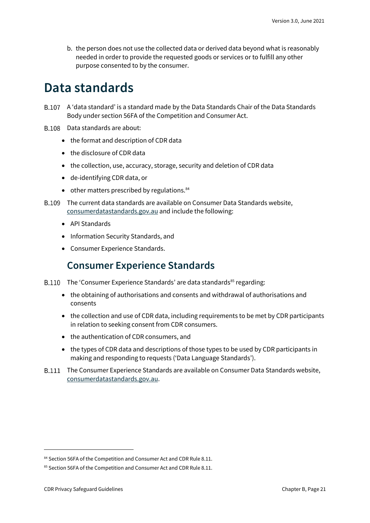b. the person does not use the collected data or derived data beyond what is reasonably needed in order to provide the requested goods or services or to fulfill any other purpose consented to by the consumer.

### <span id="page-20-0"></span>**Data standards**

- A 'data standard' is a standard made by the Data Standards Chair of the Data Standards Body under section 56FA of the Competition and Consumer Act.
- B.108 Data standards are about:
	- the format and description of CDR data
	- the disclosure of CDR data
	- the collection, use, accuracy, storage, security and deletion of CDR data
	- de-identifying CDR data, or
	- $\bullet$  other matters prescribed by regulations. $84$
- The current data standards are available on Consumer Data Standards website, [consumerdatastandards.gov.au](https://consumerdatastandards.gov.au/) and include the following:
	- API Standards
	- Information Security Standards, and
	- Consumer Experience Standards.

#### **Consumer Experience Standards**

- <span id="page-20-1"></span> $B.110$  The 'Consumer Experience Standards' are data standards<sup>85</sup> regarding:
	- the obtaining of authorisations and consents and withdrawal of authorisations and consents
	- the collection and use of CDR data, including requirements to be met by CDR participants in relation to seeking consent from CDR consumers.
	- the authentication of CDR consumers, and
	- the types of CDR data and descriptions of those types to be used by CDR participants in making and responding to requests ('Data Language Standards').
- The Consumer Experience Standards are available on Consumer Data Standards website, [consumerdatastandards.gov.au.](http://www.consumerdatastandards.gov.au/)

<sup>84</sup> Section 56FA of the Competition and Consumer Act and CDR Rule 8.11.

<sup>85</sup> Section 56FA of the Competition and Consumer Act and CDR Rule 8.11.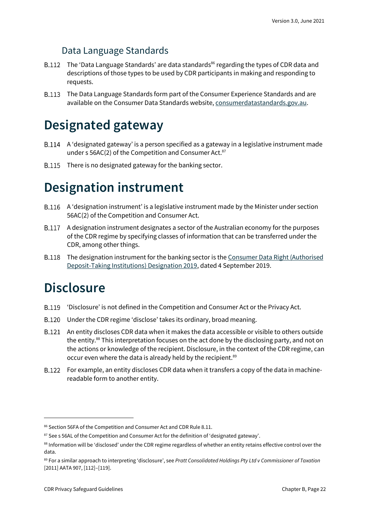#### Data Language Standards

- B.112 The 'Data Language Standards' are data standards<sup>86</sup> regarding the types of CDR data and descriptions of those types to be used by CDR participants in making and responding to requests.
- The Data Language Standards form part of the Consumer Experience Standards and are available on the Consumer Data Standards website[, consumerdatastandards.gov.au.](http://www.consumerdatastandards.gov.au/)

## <span id="page-21-0"></span>**Designated gateway**

- B.114 A 'designated gateway' is a person specified as a gateway in a legislative instrument made under s 56AC(2) of the Competition and Consumer Act.<sup>87</sup>
- B.115 There is no designated gateway for the banking sector.

## <span id="page-21-1"></span>**Designation instrument**

- A 'designation instrument' is a legislative instrument made by the Minister under section 56AC(2) of the Competition and Consumer Act.
- A designation instrument designates a sector of the Australian economy for the purposes of the CDR regime by specifying classes of information that can be transferred under the CDR, among other things.
- B.118 The designation instrument for the banking sector is the Consumer Data Right (Authorised [Deposit-Taking Institutions\) Designation 2019,](https://www.legislation.gov.au/Details/F2019L01153) dated 4 September 2019.

### <span id="page-21-2"></span>**Disclosure**

- 'Disclosure' is not defined in the Competition and Consumer Act or the Privacy Act.
- Under the CDR regime 'disclose' takes its ordinary, broad meaning.
- An entity discloses CDR data when it makes the data accessible or visible to others outside the entity. <sup>88</sup> This interpretation focuses on the act done by the disclosing party, and not on the actions or knowledge of the recipient. Disclosure, in the context of the CDR regime, can occur even where the data is already held by the recipient.<sup>89</sup>
- For example, an entity discloses CDR data when it transfers a copy of the data in machinereadable form to another entity.

<sup>86</sup> Section 56FA of the Competition and Consumer Act and CDR Rule 8.11.

<sup>87</sup> See s 56AL of the Competition and Consumer Act for the definition of 'designated gateway'.

<sup>88</sup> Information will be 'disclosed' under the CDR regime regardless of whether an entity retains effective control over the data.

<sup>89</sup> For a similar approach to interpreting 'disclosure', see *Pratt Consolidated Holdings Pty Ltd v Commissioner of Taxation*  [2011] AATA 907, [112]–[119].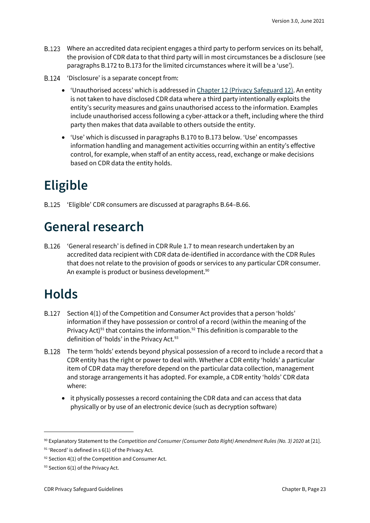- Where an accredited data recipient engages a third party to perform services on its behalf, the provision of CDR data to that third party will in most circumstances be a disclosure (see paragraphs B.172 to B.173 for the limited circumstances where it will be a 'use').
- B.124 'Disclosure' is a separate concept from:
	- 'Unauthorised access' which is addressed in [Chapter 12 \(Privacy Safeguard 12\).](https://www.oaic.gov.au/consumer-data-right/cdr-privacy-safeguard-guidelines/chapter-12-privacy-safeguard-12-security-of-cdr-data-and-destruction-of-de-identification-of-redundant-cdr-data) An entity is not taken to have disclosed CDR data where a third party intentionally exploits the entity's security measures and gains unauthorised access to the information. Examples include unauthorised access following a cyber-attackor a theft, including where the third party then makes that data available to others outside the entity.
	- 'Use' which is discussed in paragraphs B.170 to B.173 below. 'Use' encompasses information handling and management activities occurring within an entity's effective control, for example, when staff of an entity access, read, exchange or make decisions based on CDR data the entity holds.

## <span id="page-22-0"></span>**Eligible**

'Eligible' CDR consumers are discussed at paragraphs B.64–B.66.

### <span id="page-22-1"></span>**General research**

'General research' is defined in CDR Rule 1.7 to mean research undertaken by an accredited data recipient with CDR data de-identified in accordance with the CDR Rules that does not relate to the provision of goods or services to any particular CDR consumer. An example is product or business development.<sup>90</sup>

## <span id="page-22-2"></span>**Holds**

- Section 4(1) of the Competition and Consumer Act provides that a person 'holds' information if they have possession or control of a record (within the meaning of the Privacy Act)<sup>91</sup> that contains the information.<sup>92</sup> This definition is comparable to the definition of 'holds' in the Privacy Act.<sup>93</sup>
- The term 'holds' extends beyond physical possession of a record to include a record that a CDR entity has the right or power to deal with. Whether a CDR entity 'holds' a particular item of CDR data may therefore depend on the particular data collection, management and storage arrangements it has adopted. For example, a CDR entity 'holds' CDR data where:
	- it physically possesses a record containing the CDR data and can access that data physically or by use of an electronic device (such as decryption software)

<sup>90</sup> Explanatory Statement to the *Competition and Consumer (Consumer Data Right) Amendment Rules (No. 3) 2020* at [21].

 $91$  'Record' is defined in s 6(1) of the Privacy Act.

 $92$  Section 4(1) of the Competition and Consumer Act.

<sup>93</sup> Section 6(1) of the Privacy Act.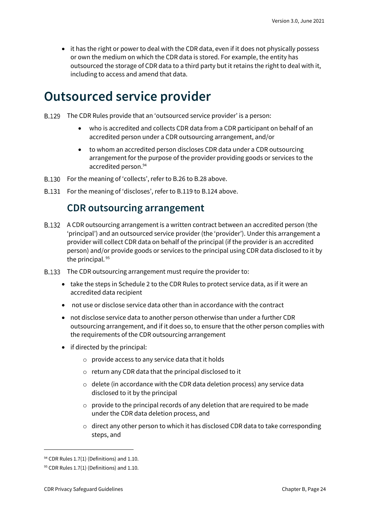• it has the right or power to deal with the CDR data, even if it does not physically possess or own the medium on which the CDR data is stored. For example, the entity has outsourced the storage of CDR data to a third party but it retains the right to deal with it, including to access and amend that data.

### <span id="page-23-0"></span>**Outsourced service provider**

- The CDR Rules provide that an 'outsourced service provider' is a person:
	- who is accredited and collects CDR data from a CDR participant on behalf of an accredited person under a CDR outsourcing arrangement, and/or
	- to whom an accredited person discloses CDR data under a CDR outsourcing arrangement for the purpose of the provider providing goods or services to the accredited person. 94
- B.130 For the meaning of 'collects', refer to B.26 to B.28 above.
- <span id="page-23-1"></span>B.131 For the meaning of 'discloses', refer to B.119 to B.124 above.

### **CDR outsourcing arrangement**

- A CDR outsourcing arrangement is a written contract between an accredited person (the 'principal') and an outsourced service provider (the 'provider'). Under this arrangement a provider will collect CDR data on behalf of the principal (if the provider is an accredited person) and/or provide goods or services to the principal using CDR data disclosed to it by the principal.<sup>95</sup>
- B.133 The CDR outsourcing arrangement must require the provider to:
	- take the steps in Schedule 2 to the CDR Rules to protect service data, as if it were an accredited data recipient
	- not use or disclose service data other than in accordance with the contract
	- not disclose service data to another person otherwise than under a further CDR outsourcing arrangement, and if it does so, to ensure that the other person complies with the requirements of the CDR outsourcing arrangement
	- if directed by the principal:
		- o provide access to any service data that it holds
		- o return any CDR data that the principal disclosed to it
		- o delete (in accordance with the CDR data deletion process) any service data disclosed to it by the principal
		- o provide to the principal records of any deletion that are required to be made under the CDR data deletion process, and
		- o direct any other person to which it has disclosed CDR data to take corresponding steps, and

 $94$  CDR Rules 1.7(1) (Definitions) and 1.10.

 $95$  CDR Rules 1.7(1) (Definitions) and 1.10.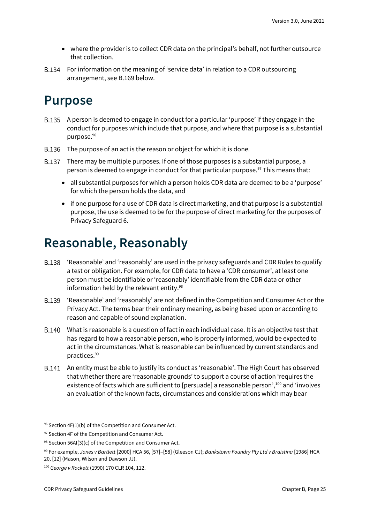- where the provider is to collect CDR data on the principal's behalf, not further outsource that collection.
- For information on the meaning of 'service data' in relation to a CDR outsourcing arrangement, see B.169 below.

### <span id="page-24-0"></span>**Purpose**

- A person is deemed to engage in conduct for a particular 'purpose' if they engage in the conduct for purposes which include that purpose, and where that purpose is a substantial purpose.<sup>96</sup>
- B.136 The purpose of an act is the reason or object for which it is done.
- There may be multiple purposes. If one of those purposes is a substantial purpose, a person is deemed to engage in conduct for that particular purpose.<sup>97</sup> This means that:
	- all substantial purposes for which a person holds CDR data are deemed to be a 'purpose' for which the person holds the data, and
	- if one purpose for a use of CDR data is direct marketing, and that purpose is a substantial purpose, the use is deemed to be for the purpose of direct marketing for the purposes of Privacy Safeguard 6.

## <span id="page-24-1"></span>**Reasonable, Reasonably**

- 'Reasonable' and 'reasonably' are used in the privacy safeguards and CDR Rules to qualify a test or obligation. For example, for CDR data to have a 'CDR consumer', at least one person must be identifiable or 'reasonably' identifiable from the CDR data or other information held by the relevant entity. 98
- 'Reasonable' and 'reasonably' are not defined in the Competition and Consumer Act or the Privacy Act. The terms bear their ordinary meaning, as being based upon or according to reason and capable of sound explanation.
- What is reasonable is a question of fact in each individual case. It is an objective test that has regard to how a reasonable person, who is properly informed, would be expected to act in the circumstances. What is reasonable can be influenced by current standards and practices.<sup>99</sup>
- An entity must be able to justify its conduct as 'reasonable'. The High Court has observed that whether there are 'reasonable grounds' to support a course of action 'requires the existence of facts which are sufficient to [persuade] a reasonable person',<sup>100</sup> and 'involves an evaluation of the known facts, circumstances and considerations which may bear

 $96$  Section 4F(1)(b) of the Competition and Consumer Act.

<sup>97</sup> Section 4F of the Competition and Consumer Act.

 $98$  Section 56AI(3)(c) of the Competition and Consumer Act.

<sup>99</sup> For example, *Jones v Bartlett* [2000] HCA 56, [57]–[58] (Gleeson CJ); *Bankstown Foundry Pty Ltd v Braistina* [1986] HCA 20, [12] (Mason, Wilson and Dawson JJ).

<sup>100</sup> *George v Rockett* (1990) 170 CLR 104, 112.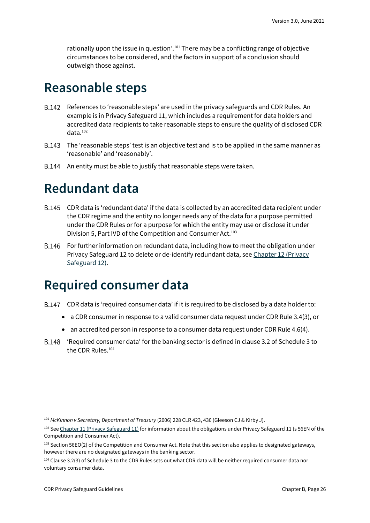rationally upon the issue in question'.<sup>101</sup> There may be a conflicting range of objective circumstances to be considered, and the factors in support of a conclusion should outweigh those against.

### <span id="page-25-0"></span>**Reasonable steps**

- References to 'reasonable steps' are used in the privacy safeguards and CDR Rules. An B.142 example is in Privacy Safeguard 11, which includes a requirement for data holders and accredited data recipients to take reasonable steps to ensure the quality of disclosed CDR data.<sup>102</sup>
- B.143 The 'reasonable steps' test is an objective test and is to be applied in the same manner as 'reasonable' and 'reasonably'.
- B.144 An entity must be able to justify that reasonable steps were taken.

### <span id="page-25-1"></span>**Redundant data**

- CDR data is 'redundant data' if the data is collected by an accredited data recipient under the CDR regime and the entity no longer needs any of the data for a purpose permitted under the CDR Rules or for a purpose for which the entity may use or disclose it under Division 5, Part IVD of the Competition and Consumer Act.<sup>103</sup>
- B.146 For further information on redundant data, including how to meet the obligation under Privacy Safeguard 12 to delete or de-identify redundant data, see [Chapter 12 \(Privacy](https://www.oaic.gov.au/consumer-data-right/cdr-privacy-safeguard-guidelines/chapter-12-privacy-safeguard-12-security-of-cdr-data-and-destruction-or-de-identification-of-redundant-cdr-data/)  [Safeguard 12\).](https://www.oaic.gov.au/consumer-data-right/cdr-privacy-safeguard-guidelines/chapter-12-privacy-safeguard-12-security-of-cdr-data-and-destruction-or-de-identification-of-redundant-cdr-data/)

## <span id="page-25-2"></span>**Required consumer data**

- CDR data is 'required consumer data' if it is required to be disclosed by a data holder to:
	- a CDR consumer in response to a valid consumer data request under CDR Rule 3.4(3), or
	- an accredited person in response to a consumer data request under CDR Rule 4.6(4).
- 'Required consumer data' for the banking sector is defined in clause 3.2 of Schedule 3 to the CDR Rules.<sup>104</sup>

<sup>101</sup> *McKinnon v Secretary, Department of Treasury* (2006) 228 CLR 423, 430 (Gleeson CJ & Kirby J).

<sup>102</sup> Se[e Chapter 11 \(Privacy Safeguard 11\)](https://www.oaic.gov.au/consumer-data-right/cdr-privacy-safeguard-guidelines/chapter-11-privacy-safeguard-11-quality-of-cdr-data/) for information about the obligations under Privacy Safeguard 11 (s 56EN of the Competition and Consumer Act).

<sup>103</sup> Section 56EO(2) of the Competition and Consumer Act. Note that this section also applies to designated gateways, however there are no designated gateways in the banking sector.

<sup>104</sup> Clause 3.2(3) of Schedule 3 to the CDR Rules sets out what CDR data will be neither required consumer data nor voluntary consumer data.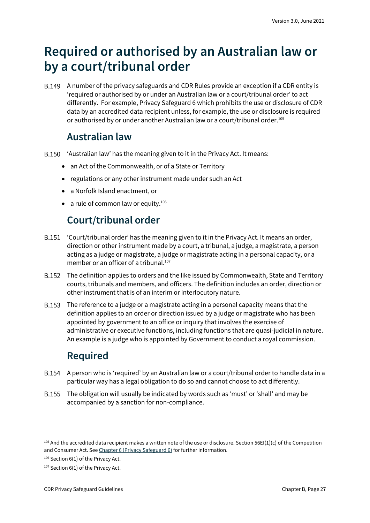## <span id="page-26-0"></span>**Required or authorised by an Australian law or by a court/tribunal order**

A number of the privacy safeguards and CDR Rules provide an exception if a CDR entity is 'required or authorised by or under an Australian law or a court/tribunal order' to act differently. For example, Privacy Safeguard 6 which prohibits the use or disclosure of CDR data by an accredited data recipient unless, for example, the use or disclosure is required or authorised by or under another Australian law or a court/tribunal order.<sup>105</sup>

### **Australian law**

- <span id="page-26-1"></span>'Australian law' has the meaning given to it in the Privacy Act. It means:
	- an Act of the Commonwealth, or of a State or Territory
	- regulations or any other instrument made under such an Act
	- a Norfolk Island enactment, or
	- a rule of common law or equity. $106$

### **Court/tribunal order**

- <span id="page-26-2"></span>B.151 'Court/tribunal order' has the meaning given to it in the Privacy Act. It means an order, direction or other instrument made by a court, a tribunal, a judge, a magistrate, a person acting as a judge or magistrate, a judge or magistrate acting in a personal capacity, or a member or an officer of a tribunal.<sup>107</sup>
- The definition applies to orders and the like issued by Commonwealth, State and Territory courts, tribunals and members, and officers. The definition includes an order, direction or other instrument that is of an interim or interlocutory nature.
- B.153 The reference to a judge or a magistrate acting in a personal capacity means that the definition applies to an order or direction issued by a judge or magistrate who has been appointed by government to an office or inquiry that involves the exercise of administrative or executive functions, including functions that are quasi-judicial in nature. An example is a judge who is appointed by Government to conduct a royal commission.

### **Required**

- <span id="page-26-3"></span>A person who is 'required' by an Australian law or a court/tribunal order to handle data in a particular way has a legal obligation to do so and cannot choose to act differently.
- The obligation will usually be indicated by words such as 'must' or 'shall' and may be accompanied by a sanction for non-compliance.

 $105$  And the accredited data recipient makes a written note of the use or disclosure. Section 56EI(1)(c) of the Competition and Consumer Act. Se[e Chapter 6 \(Privacy Safeguard 6\)](https://www.oaic.gov.au/consumer-data-right/cdr-privacy-safeguard-guidelines/chapter-6-privacy-safeguard-6-use-or-disclosure-of-cdr-data-by-accredited-data-recipients-or-designated-gateways/) for further information.

<sup>106</sup> Section 6(1) of the Privacy Act.

<sup>107</sup> Section 6(1) of the Privacy Act.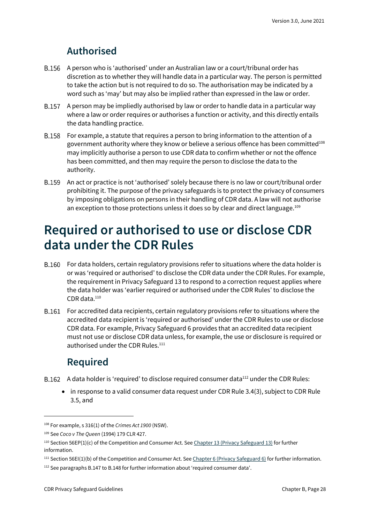### **Authorised**

- <span id="page-27-0"></span>A person who is 'authorised' under an Australian law or a court/tribunal order has discretion as to whether they will handle data in a particular way. The person is permitted to take the action but is not required to do so. The authorisation may be indicated by a word such as 'may' but may also be implied rather than expressed in the law or order.
- A person may be impliedly authorised by law or order to handle data in a particular way where a law or order requires or authorises a function or activity, and this directly entails the data handling practice.
- For example, a statute that requires a person to bring information to the attention of a government authority where they know or believe a serious offence has been committed<sup>108</sup> may implicitly authorise a person to use CDR data to confirm whether or not the offence has been committed, and then may require the person to disclose the data to the authority.
- An act or practice is not 'authorised' solely because there is no law or court/tribunal order prohibiting it. The purpose of the privacy safeguards is to protect the privacy of consumers by imposing obligations on persons in their handling of CDR data. A law will not authorise an exception to those protections unless it does so by clear and direct language.<sup>109</sup>

## <span id="page-27-1"></span>**Required or authorised to use or disclose CDR data under the CDR Rules**

- B.160 For data holders, certain regulatory provisions refer to situations where the data holder is or was 'required or authorised' to disclose the CDR data under the CDR Rules. For example, the requirement in Privacy Safeguard 13 to respond to a correction request applies where the data holder was 'earlier required or authorised under the CDR Rules' to disclose the CDR data.<sup>110</sup>
- For accredited data recipients, certain regulatory provisions refer to situations where the accredited data recipient is 'required or authorised' under the CDR Rules to use or disclose CDR data. For example, Privacy Safeguard 6 provides that an accredited data recipient must not use or disclose CDR data unless, for example, the use or disclosure is required or authorised under the CDR Rules.<sup>111</sup>

### **Required**

- <span id="page-27-2"></span>B.162 A data holder is 'required' to disclose required consumer data $^{112}$  under the CDR Rules:
	- in response to a valid consumer data request under CDR Rule 3.4(3), subject to CDR Rule 3.5, and

<sup>108</sup> For example, s 316(1) of the *Crimes Act 1900* (NSW).

<sup>109</sup> See *Coco v The Queen* (1994) 179 CLR 427.

<sup>110</sup> Section 56EP(1)(c) of the Competition and Consumer Act. Se[e Chapter 13 \(Privacy Safeguard 13\)](https://www.oaic.gov.au/consumer-data-right/cdr-privacy-safeguard-guidelines/chapter-13-privacy-safeguard-13-correction-of-cdr-data/) for further information.

<sup>111</sup> Section 56EI(1)(b) of the Competition and Consumer Act. Se[e Chapter 6 \(Privacy Safeguard 6\)](https://www.oaic.gov.au/consumer-data-right/cdr-privacy-safeguard-guidelines/chapter-6-privacy-safeguard-6-use-or-disclosure-of-cdr-data-by-accredited-data-recipients-or-designated-gateways/) for further information.

<sup>&</sup>lt;sup>112</sup> See paragraphs B.147 to B.148 for further information about 'required consumer data'.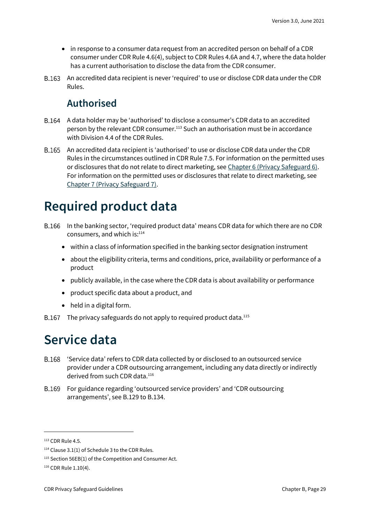- in response to a consumer data request from an accredited person on behalf of a CDR consumer under CDR Rule 4.6(4), subject to CDR Rules 4.6A and 4.7, where the data holder has a current authorisation to disclose the data from the CDR consumer.
- <span id="page-28-0"></span>An accredited data recipient is never 'required' to use or disclose CDR data under the CDR Rules.

### **Authorised**

- A data holder may be 'authorised' to disclose a consumer's CDR data to an accredited person by the relevant CDR consumer.<sup>113</sup> Such an authorisation must be in accordance with Division 4.4 of the CDR Rules.
- An accredited data recipient is 'authorised' to use or disclose CDR data under the CDR Rules in the circumstances outlined in CDR Rule 7.5. For information on the permitted uses or disclosures that do not relate to direct marketing, see [Chapter 6 \(Privacy Safeguard 6\).](https://www.oaic.gov.au/consumer-data-right/cdr-privacy-safeguard-guidelines/chapter-6-privacy-safeguard-6-use-or-disclosure-of-cdr-data-by-accredited-data-recipients-or-designated-gateways/) For information on the permitted uses or disclosures that relate to direct marketing, see [Chapter 7 \(Privacy Safeguard 7\).](https://www.oaic.gov.au/consumer-data-right/cdr-privacy-safeguard-guidelines/chapter-7-privacy-safeguard-7-use-or-disclosure-of-cdr-data-for-direct-marketing-by-accredited-data-recipients-or-designated-gateways/)

## <span id="page-28-1"></span>**Required product data**

- B.166 In the banking sector, 'required product data' means CDR data for which there are no CDR consumers, and which is:114
	- within a class of information specified in the banking sector designation instrument
	- about the eligibility criteria, terms and conditions, price, availability or performance of a product
	- publicly available, in the case where the CDR data is about availability or performance
	- product specific data about a product, and
	- held in a digital form.
- B.167 The privacy safeguards do not apply to required product data. $^{115}$

## <span id="page-28-2"></span>**Service data**

- 'Service data' refers to CDR data collected by or disclosed to an outsourced service provider under a CDR outsourcing arrangement, including any data directly or indirectly derived from such CDR data. 116
- For guidance regarding 'outsourced service providers' and 'CDR outsourcing B.169 arrangements', see B.129 to B.134.

<sup>113</sup> CDR Rule 4.5.

<sup>114</sup> Clause 3.1(1) of Schedule 3 to the CDR Rules.

<sup>&</sup>lt;sup>115</sup> Section 56EB(1) of the Competition and Consumer Act.

<sup>116</sup> CDR Rule 1.10(4).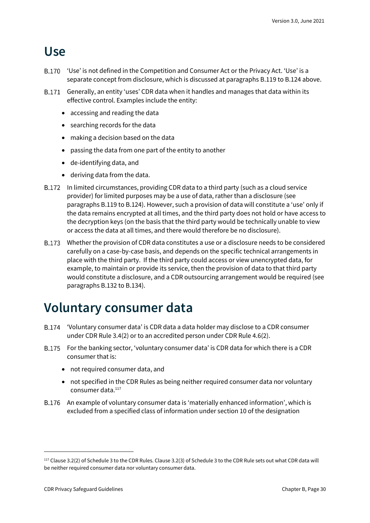### <span id="page-29-0"></span>**Use**

- B.170 'Use' is not defined in the Competition and Consumer Act or the Privacy Act. 'Use' is a separate concept from disclosure, which is discussed at paragraphs B.119 to B.124 above.
- B.171 Generally, an entity 'uses' CDR data when it handles and manages that data within its effective control. Examples include the entity:
	- accessing and reading the data
	- searching records for the data
	- making a decision based on the data
	- passing the data from one part of the entity to another
	- de-identifying data, and
	- deriving data from the data.
- B.172 In limited circumstances, providing CDR data to a third party (such as a cloud service provider) for limited purposes may be a use of data, rather than a disclosure (see paragraphs B.119 to B.124). However, such a provision of data will constitute a 'use' only if the data remains encrypted at all times, and the third party does not hold or have access to the decryption keys (on the basis that the third party would be technically unable to view or access the data at all times, and there would therefore be no disclosure).
- Whether the provision of CDR data constitutes a use or a disclosure needs to be considered carefully on a case-by-case basis, and depends on the specific technical arrangements in place with the third party. If the third party could access or view unencrypted data, for example, to maintain or provide its service, then the provision of data to that third party would constitute a disclosure, and a CDR outsourcing arrangement would be required (see paragraphs B.132 to B.134).

## <span id="page-29-1"></span>**Voluntary consumer data**

- 'Voluntary consumer data' is CDR data a data holder may disclose to a CDR consumer under CDR Rule 3.4(2) or to an accredited person under CDR Rule 4.6(2).
- For the banking sector, 'voluntary consumer data' is CDR data for which there is a CDR consumer that is:
	- not required consumer data, and
	- not specified in the CDR Rules as being neither required consumer data nor voluntary consumer data. 117
- An example of voluntary consumer data is 'materially enhanced information', which is excluded from a specified class of information under section 10 of the designation

<sup>117</sup> Clause 3.2(2) of Schedule 3 to the CDR Rules. Clause 3.2(3) of Schedule 3 to the CDR Rule sets out what CDR data will be neither required consumer data nor voluntary consumer data.